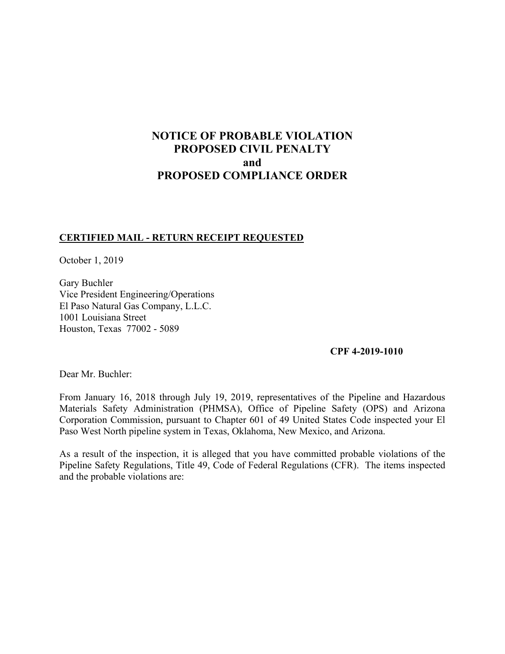# **NOTICE OF PROBABLE VIOLATION PROPOSED CIVIL PENALTY and PROPOSED COMPLIANCE ORDER**

## **CERTIFIED MAIL - RETURN RECEIPT REQUESTED**

October 1, 2019

Gary Buchler Vice President Engineering/Operations El Paso Natural Gas Company, L.L.C. 1001 Louisiana Street Houston, Texas 77002 - 5089

#### **CPF 4-2019-1010**

Dear Mr. Buchler:

From January 16, 2018 through July 19, 2019, representatives of the Pipeline and Hazardous Materials Safety Administration (PHMSA), Office of Pipeline Safety (OPS) and Arizona Corporation Commission, pursuant to Chapter 601 of 49 United States Code inspected your El Paso West North pipeline system in Texas, Oklahoma, New Mexico, and Arizona.

As a result of the inspection, it is alleged that you have committed probable violations of the Pipeline Safety Regulations, Title 49, Code of Federal Regulations (CFR). The items inspected and the probable violations are: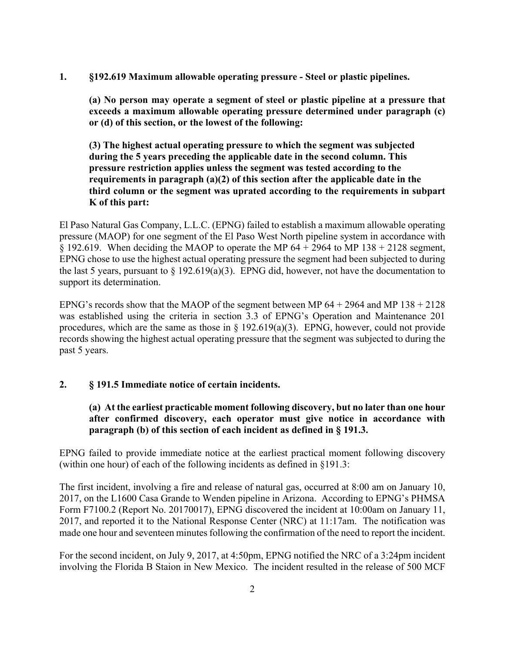**1. §192.619 Maximum allowable operating pressure - Steel or plastic pipelines.** 

**(a) No person may operate a segment of steel or plastic pipeline at a pressure that exceeds a maximum allowable operating pressure determined under paragraph (c) or (d) of this section, or the lowest of the following:** 

**(3) The highest actual operating pressure to which the segment was subjected during the 5 years preceding the applicable date in the second column. This pressure restriction applies unless the segment was tested according to the requirements in paragraph (a)(2) of this section after the applicable date in the third column or the segment was uprated according to the requirements in subpart K of this part:** 

 $\S 192.619$ . When deciding the MAOP to operate the MP  $64 + 2964$  to MP  $138 + 2128$  segment, El Paso Natural Gas Company, L.L.C. (EPNG) failed to establish a maximum allowable operating pressure (MAOP) for one segment of the El Paso West North pipeline system in accordance with EPNG chose to use the highest actual operating pressure the segment had been subjected to during the last 5 years, pursuant to  $\S 192.619(a)(3)$ . EPNG did, however, not have the documentation to support its determination.

EPNG's records show that the MAOP of the segment between MP  $64 + 2964$  and MP  $138 + 2128$ was established using the criteria in section 3.3 of EPNG's Operation and Maintenance 201 procedures, which are the same as those in  $\S$  192.619(a)(3). EPNG, however, could not provide records showing the highest actual operating pressure that the segment was subjected to during the past 5 years.

#### **2. § 191.5 Immediate notice of certain incidents.**

# **(a) At the earliest practicable moment following discovery, but no later than one hour after confirmed discovery, each operator must give notice in accordance with paragraph (b) of this section of each incident as defined in § 191.3.**

EPNG failed to provide immediate notice at the earliest practical moment following discovery (within one hour) of each of the following incidents as defined in §191.3:

The first incident, involving a fire and release of natural gas, occurred at 8:00 am on January 10, 2017, on the L1600 Casa Grande to Wenden pipeline in Arizona. According to EPNG's PHMSA Form F7100.2 (Report No. 20170017), EPNG discovered the incident at 10:00am on January 11, 2017, and reported it to the National Response Center (NRC) at 11:17am. The notification was made one hour and seventeen minutes following the confirmation of the need to report the incident.

For the second incident, on July 9, 2017, at 4:50pm, EPNG notified the NRC of a 3:24pm incident involving the Florida B Staion in New Mexico. The incident resulted in the release of 500 MCF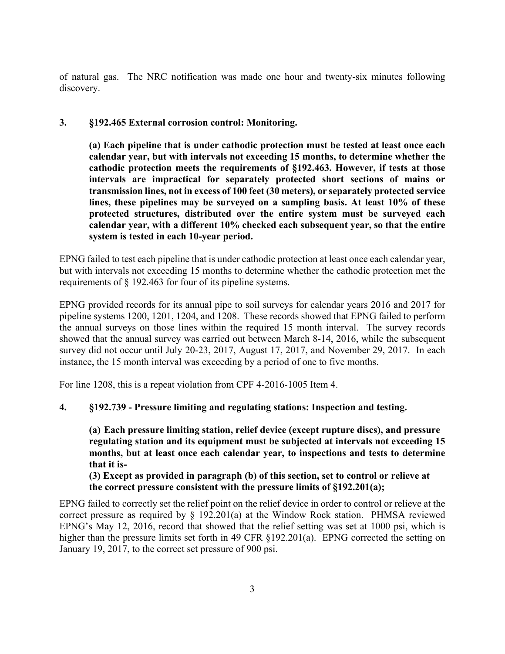of natural gas. The NRC notification was made one hour and twenty-six minutes following discovery.

# **3. §192.465 External corrosion control: Monitoring.**

**(a) Each pipeline that is under cathodic protection must be tested at least once each calendar year, but with intervals not exceeding 15 months, to determine whether the cathodic protection meets the requirements of §192.463. However, if tests at those intervals are impractical for separately protected short sections of mains or transmission lines, not in excess of 100 feet (30 meters), or separately protected service lines, these pipelines may be surveyed on a sampling basis. At least 10% of these protected structures, distributed over the entire system must be surveyed each calendar year, with a different 10% checked each subsequent year, so that the entire system is tested in each 10-year period.** 

EPNG failed to test each pipeline that is under cathodic protection at least once each calendar year, but with intervals not exceeding 15 months to determine whether the cathodic protection met the requirements of § 192.463 for four of its pipeline systems.

EPNG provided records for its annual pipe to soil surveys for calendar years 2016 and 2017 for pipeline systems 1200, 1201, 1204, and 1208. These records showed that EPNG failed to perform the annual surveys on those lines within the required 15 month interval. The survey records showed that the annual survey was carried out between March 8-14, 2016, while the subsequent survey did not occur until July 20-23, 2017, August 17, 2017, and November 29, 2017. In each instance, the 15 month interval was exceeding by a period of one to five months.

For line 1208, this is a repeat violation from CPF 4-2016-1005 Item 4.

# **4. §192.739 - Pressure limiting and regulating stations: Inspection and testing.**

**(a) Each pressure limiting station, relief device (except rupture discs), and pressure regulating station and its equipment must be subjected at intervals not exceeding 15 months, but at least once each calendar year, to inspections and tests to determine that it is-**

**(3) Except as provided in paragraph (b) of this section, set to control or relieve at the correct pressure consistent with the pressure limits of §192.201(a);** 

EPNG failed to correctly set the relief point on the relief device in order to control or relieve at the correct pressure as required by § 192.201(a) at the Window Rock station. PHMSA reviewed EPNG's May 12, 2016, record that showed that the relief setting was set at 1000 psi, which is higher than the pressure limits set forth in 49 CFR §192.201(a). EPNG corrected the setting on January 19, 2017, to the correct set pressure of 900 psi.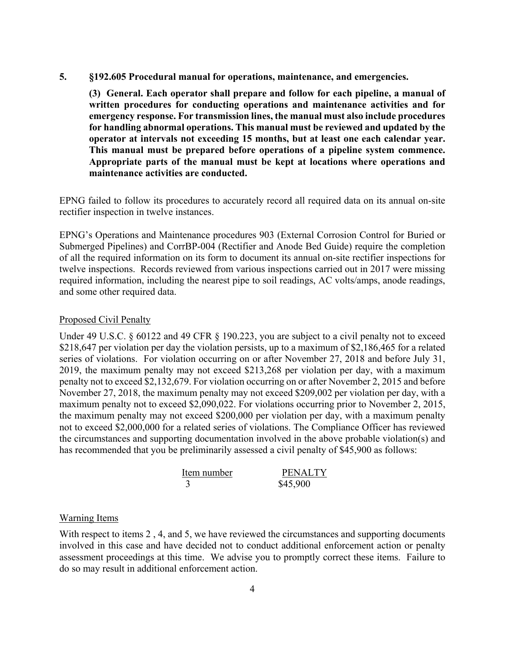**5. §192.605 Procedural manual for operations, maintenance, and emergencies.** 

**(3) General. Each operator shall prepare and follow for each pipeline, a manual of written procedures for conducting operations and maintenance activities and for emergency response. For transmission lines, the manual must also include procedures for handling abnormal operations. This manual must be reviewed and updated by the operator at intervals not exceeding 15 months, but at least one each calendar year. This manual must be prepared before operations of a pipeline system commence. Appropriate parts of the manual must be kept at locations where operations and maintenance activities are conducted.** 

EPNG failed to follow its procedures to accurately record all required data on its annual on-site rectifier inspection in twelve instances.

EPNG's Operations and Maintenance procedures 903 (External Corrosion Control for Buried or Submerged Pipelines) and CorrBP-004 (Rectifier and Anode Bed Guide) require the completion of all the required information on its form to document its annual on-site rectifier inspections for twelve inspections. Records reviewed from various inspections carried out in 2017 were missing required information, including the nearest pipe to soil readings, AC volts/amps, anode readings, and some other required data.

#### Proposed Civil Penalty

Under 49 U.S.C. § 60122 and 49 CFR § 190.223, you are subject to a civil penalty not to exceed \$218,647 per violation per day the violation persists, up to a maximum of \$2,186,465 for a related series of violations. For violation occurring on or after November 27, 2018 and before July 31, 2019, the maximum penalty may not exceed \$213,268 per violation per day, with a maximum penalty not to exceed \$2,132,679. For violation occurring on or after November 2, 2015 and before November 27, 2018, the maximum penalty may not exceed \$209,002 per violation per day, with a maximum penalty not to exceed \$2,090,022. For violations occurring prior to November 2, 2015, the maximum penalty may not exceed \$200,000 per violation per day, with a maximum penalty not to exceed \$2,000,000 for a related series of violations. The Compliance Officer has reviewed the circumstances and supporting documentation involved in the above probable violation(s) and has recommended that you be preliminarily assessed a civil penalty of \$45,900 as follows:

| Item number | <b>PENALTY</b> |
|-------------|----------------|
|             | \$45,900       |

#### Warning Items

With respect to items 2,4, and 5, we have reviewed the circumstances and supporting documents involved in this case and have decided not to conduct additional enforcement action or penalty assessment proceedings at this time. We advise you to promptly correct these items. Failure to do so may result in additional enforcement action.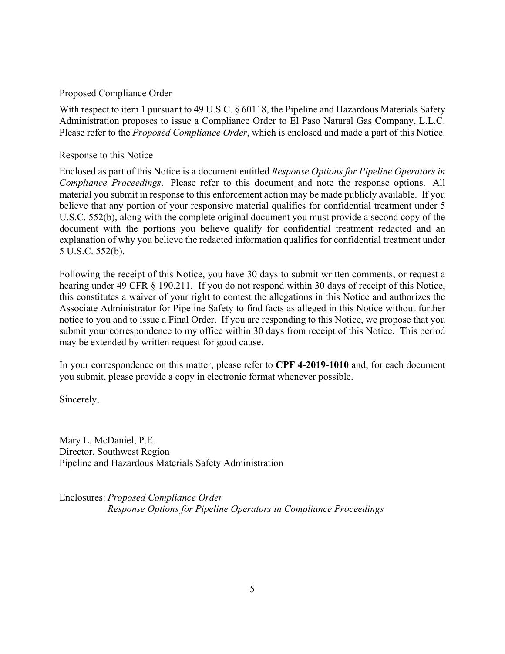### Proposed Compliance Order

With respect to item 1 pursuant to 49 U.S.C. § 60118, the Pipeline and Hazardous Materials Safety Administration proposes to issue a Compliance Order to El Paso Natural Gas Company, L.L.C. Please refer to the *Proposed Compliance Order*, which is enclosed and made a part of this Notice.

### Response to this Notice

Enclosed as part of this Notice is a document entitled *Response Options for Pipeline Operators in Compliance Proceedings*. Please refer to this document and note the response options. All material you submit in response to this enforcement action may be made publicly available. If you believe that any portion of your responsive material qualifies for confidential treatment under 5 U.S.C. 552(b), along with the complete original document you must provide a second copy of the document with the portions you believe qualify for confidential treatment redacted and an explanation of why you believe the redacted information qualifies for confidential treatment under 5 U.S.C. 552(b).

Following the receipt of this Notice, you have 30 days to submit written comments, or request a hearing under 49 CFR § 190.211. If you do not respond within 30 days of receipt of this Notice, this constitutes a waiver of your right to contest the allegations in this Notice and authorizes the Associate Administrator for Pipeline Safety to find facts as alleged in this Notice without further notice to you and to issue a Final Order. If you are responding to this Notice, we propose that you submit your correspondence to my office within 30 days from receipt of this Notice. This period may be extended by written request for good cause.

In your correspondence on this matter, please refer to **CPF 4-2019-1010** and, for each document you submit, please provide a copy in electronic format whenever possible.

Sincerely,

Mary L. McDaniel, P.E. Director, Southwest Region Pipeline and Hazardous Materials Safety Administration

Enclosures: *Proposed Compliance Order Response Options for Pipeline Operators in Compliance Proceedings*